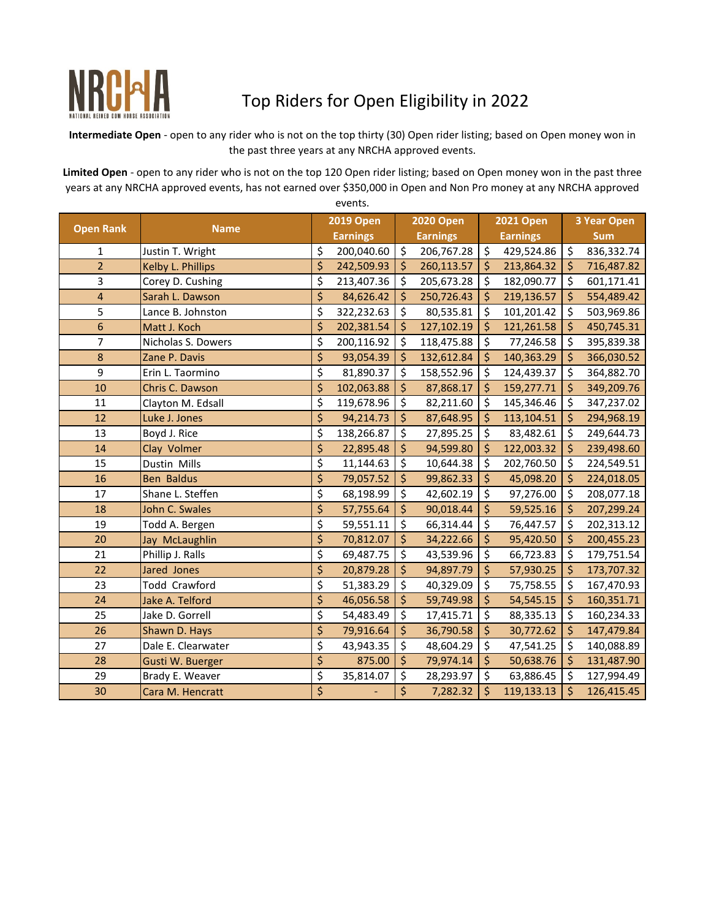

## Top Riders for Open Eligibility in 2022

**Intermediate Open** - open to any rider who is not on the top thirty (30) Open rider listing; based on Open money won in the past three years at any NRCHA approved events.

**Limited Open** - open to any rider who is not on the top 120 Open rider listing; based on Open money won in the past three years at any NRCHA approved events, has not earned over \$350,000 in Open and Non Pro money at any NRCHA approved events.

|                  |                      | <b>2019 Open</b> | <b>2020 Open</b>         |                 |                     | <b>2021 Open</b> | <b>3 Year Open</b> |            |  |
|------------------|----------------------|------------------|--------------------------|-----------------|---------------------|------------------|--------------------|------------|--|
| <b>Open Rank</b> | <b>Name</b>          | <b>Earnings</b>  |                          | <b>Earnings</b> |                     | <b>Earnings</b>  |                    | <b>Sum</b> |  |
| $\mathbf 1$      | Justin T. Wright     | \$<br>200,040.60 | \$                       | 206,767.28      | \$                  | 429,524.86       | \$                 | 836,332.74 |  |
| $\overline{2}$   | Kelby L. Phillips    | \$<br>242,509.93 | \$                       | 260,113.57      | $\zeta$             | 213,864.32       | \$                 | 716,487.82 |  |
| 3                | Corey D. Cushing     | \$<br>213,407.36 | \$                       | 205,673.28      | \$                  | 182,090.77       | \$                 | 601,171.41 |  |
| 4                | Sarah L. Dawson      | \$<br>84,626.42  | $\ddot{\mathsf{S}}$      | 250,726.43      | \$                  | 219,136.57       | Ś                  | 554,489.42 |  |
| 5                | Lance B. Johnston    | \$<br>322,232.63 | \$                       | 80,535.81       | \$                  | 101,201.42       | \$                 | 503,969.86 |  |
| 6                | Matt J. Koch         | \$<br>202,381.54 | \$                       | 127,102.19      | \$                  | 121,261.58       | \$                 | 450,745.31 |  |
| 7                | Nicholas S. Dowers   | \$<br>200,116.92 | \$                       | 118,475.88      | \$                  | 77,246.58        | \$                 | 395,839.38 |  |
| 8                | Zane P. Davis        | \$<br>93,054.39  | \$                       | 132,612.84      | \$                  | 140,363.29       | \$                 | 366,030.52 |  |
| 9                | Erin L. Taormino     | \$<br>81,890.37  | $\overline{\mathcal{S}}$ | 158,552.96      | \$                  | 124,439.37       | \$                 | 364,882.70 |  |
| 10               | Chris C. Dawson      | \$<br>102,063.88 | \$                       | 87,868.17       | \$                  | 159,277.71       | Ś                  | 349,209.76 |  |
| 11               | Clayton M. Edsall    | \$<br>119,678.96 | \$                       | 82,211.60       | \$                  | 145,346.46       | \$                 | 347,237.02 |  |
| 12               | Luke J. Jones        | \$<br>94,214.73  | \$                       | 87,648.95       | \$                  | 113,104.51       | \$                 | 294,968.19 |  |
| 13               | Boyd J. Rice         | \$<br>138,266.87 | \$                       | 27,895.25       | \$                  | 83,482.61        | \$                 | 249,644.73 |  |
| 14               | Clay Volmer          | \$<br>22,895.48  | \$                       | 94,599.80       | \$                  | 122,003.32       | \$                 | 239,498.60 |  |
| 15               | Dustin Mills         | \$<br>11,144.63  | \$                       | 10,644.38       | \$                  | 202,760.50       | \$                 | 224,549.51 |  |
| 16               | <b>Ben Baldus</b>    | \$<br>79,057.52  | \$                       | 99,862.33       | \$                  | 45,098.20        | \$                 | 224,018.05 |  |
| 17               | Shane L. Steffen     | \$<br>68,198.99  | \$                       | 42,602.19       | \$                  | 97,276.00        | \$                 | 208,077.18 |  |
| 18               | John C. Swales       | \$<br>57,755.64  | \$                       | 90,018.44       | \$                  | 59,525.16        | \$                 | 207,299.24 |  |
| 19               | Todd A. Bergen       | \$<br>59,551.11  | \$                       | 66,314.44       | \$                  | 76,447.57        | \$                 | 202,313.12 |  |
| 20               | Jay McLaughlin       | \$<br>70,812.07  | \$                       | 34,222.66       | $\ddot{\mathsf{S}}$ | 95,420.50        | \$                 | 200,455.23 |  |
| 21               | Phillip J. Ralls     | \$<br>69,487.75  | \$                       | 43,539.96       | \$                  | 66,723.83        | \$                 | 179,751.54 |  |
| 22               | Jared Jones          | \$<br>20,879.28  | \$                       | 94,897.79       | \$                  | 57,930.25        | \$                 | 173,707.32 |  |
| 23               | <b>Todd Crawford</b> | \$<br>51,383.29  | \$                       | 40,329.09       | \$                  | 75,758.55        | \$                 | 167,470.93 |  |
| 24               | Jake A. Telford      | \$<br>46,056.58  | \$                       | 59,749.98       | \$                  | 54,545.15        | \$                 | 160,351.71 |  |
| 25               | Jake D. Gorrell      | \$<br>54,483.49  | \$                       | 17,415.71       | \$                  | 88,335.13        | \$                 | 160,234.33 |  |
| 26               | Shawn D. Hays        | \$<br>79,916.64  | \$                       | 36,790.58       | \$                  | 30,772.62        | \$                 | 147,479.84 |  |
| 27               | Dale E. Clearwater   | \$<br>43,943.35  | \$                       | 48,604.29       | \$                  | 47,541.25        | \$                 | 140,088.89 |  |
| 28               | Gusti W. Buerger     | \$<br>875.00     | \$                       | 79,974.14       | \$                  | 50,638.76        | \$                 | 131,487.90 |  |
| 29               | Brady E. Weaver      | \$<br>35,814.07  | \$                       | 28,293.97       | \$                  | 63,886.45        | \$                 | 127,994.49 |  |
| 30               | Cara M. Hencratt     | \$               | \$                       | 7,282.32        | \$                  | 119,133.13       | \$                 | 126,415.45 |  |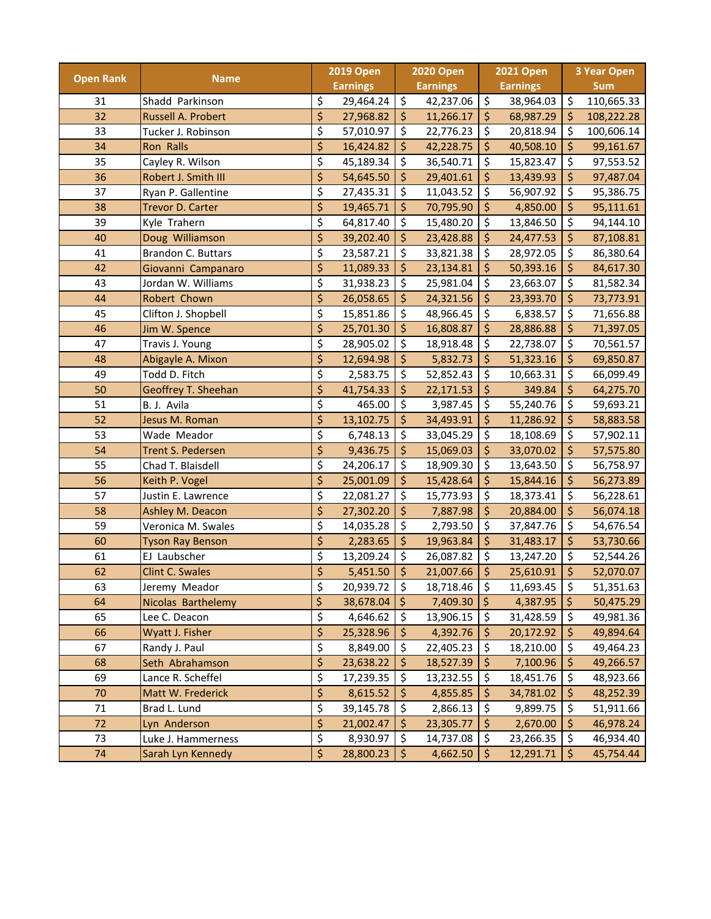|                  |                           | <b>2019 Open</b> |                 | <b>2020 Open</b>         |                 | <b>2021 Open</b> |                 | <b>3 Year Open</b> |            |
|------------------|---------------------------|------------------|-----------------|--------------------------|-----------------|------------------|-----------------|--------------------|------------|
| <b>Open Rank</b> | <b>Name</b>               |                  | <b>Earnings</b> |                          | <b>Earnings</b> |                  | <b>Earnings</b> |                    | <b>Sum</b> |
| 31               | Shadd Parkinson           | \$               | 29,464.24       | $\overline{\mathcal{S}}$ | 42,237.06       | \$               | 38,964.03       | \$                 | 110,665.33 |
| 32               | Russell A. Probert        | \$               | 27,968.82       | \$                       | 11,266.17       | $\zeta$          | 68,987.29       | \$                 | 108,222.28 |
| 33               | Tucker J. Robinson        | \$               | 57,010.97       | \$                       | 22,776.23       | \$               | 20,818.94       | \$                 | 100,606.14 |
| 34               | Ron Ralls                 | \$               | 16,424.82       | \$                       | 42,228.75       | \$               | 40,508.10       | \$                 | 99,161.67  |
| 35               | Cayley R. Wilson          | \$               | 45,189.34       | \$                       | 36,540.71       | \$               | 15,823.47       | \$                 | 97,553.52  |
| 36               | Robert J. Smith III       | \$               | 54,645.50       | \$                       | 29,401.61       | \$               | 13,439.93       | \$                 | 97,487.04  |
| 37               | Ryan P. Gallentine        | \$               | 27,435.31       | \$                       | 11,043.52       | \$               | 56,907.92       | \$                 | 95,386.75  |
| 38               | <b>Trevor D. Carter</b>   | \$               | 19,465.71       | \$                       | 70,795.90       | \$               | 4,850.00        | \$                 | 95,111.61  |
| 39               | Kyle Trahern              | \$               | 64,817.40       | \$                       | 15,480.20       | \$               | 13,846.50       | \$                 | 94,144.10  |
| 40               | Doug Williamson           | \$               | 39,202.40       | \$                       | 23,428.88       | \$               | 24,477.53       | \$                 | 87,108.81  |
| 41               | <b>Brandon C. Buttars</b> | \$               | 23,587.21       | \$                       | 33,821.38       | \$               | 28,972.05       | \$                 | 86,380.64  |
| 42               | Giovanni Campanaro        | \$               | 11,089.33       | \$                       | 23,134.81       | \$               | 50,393.16       | \$                 | 84,617.30  |
| 43               | Jordan W. Williams        | \$               | 31,938.23       | $\varsigma$              | 25,981.04       | \$               | 23,663.07       | \$                 | 81,582.34  |
| 44               | Robert Chown              | \$               | 26,058.65       | \$                       | 24,321.56       | \$               | 23,393.70       | \$                 | 73,773.91  |
| 45               | Clifton J. Shopbell       | \$               | 15,851.86       | \$                       | 48,966.45       | \$               | 6,838.57        | \$                 | 71,656.88  |
| 46               | Jim W. Spence             | \$               | 25,701.30       | \$                       | 16,808.87       | \$               | 28,886.88       | $\frac{1}{2}$      | 71,397.05  |
| 47               | Travis J. Young           | \$               | 28,905.02       | \$                       | 18,918.48       | \$               | 22,738.07       | \$                 | 70,561.57  |
| 48               | Abigayle A. Mixon         | \$               | 12,694.98       | $\overline{\xi}$         | 5,832.73        | \$               | 51,323.16       | \$                 | 69,850.87  |
| 49               | Todd D. Fitch             | \$               | 2,583.75        | \$                       | 52,852.43       | \$               | 10,663.31       | \$                 | 66,099.49  |
| 50               | Geoffrey T. Sheehan       | \$               | 41,754.33       | \$                       | 22,171.53       | \$               | 349.84          | \$                 | 64,275.70  |
| 51               | B. J. Avila               | \$               | 465.00          | \$                       | 3,987.45        | \$               | 55,240.76       | \$                 | 59,693.21  |
| 52               | Jesus M. Roman            | \$               | 13,102.75       | \$                       | 34,493.91       | \$               | 11,286.92       | \$                 | 58,883.58  |
| 53               | Wade Meador               | \$               | 6,748.13        | \$                       | 33,045.29       | \$               | 18,108.69       | \$                 | 57,902.11  |
| 54               | Trent S. Pedersen         | \$               | 9,436.75        | \$                       | 15,069.03       | \$               | 33,070.02       | \$                 | 57,575.80  |
| 55               | Chad T. Blaisdell         | \$               | 24,206.17       | \$                       | 18,909.30       | \$               | 13,643.50       | \$                 | 56,758.97  |
| 56               | Keith P. Vogel            | \$               | 25,001.09       | \$                       | 15,428.64       | \$               | 15,844.16       | \$                 | 56,273.89  |
| 57               | Justin E. Lawrence        | \$               | 22,081.27       | \$                       | 15,773.93       | \$               | 18,373.41       | \$                 | 56,228.61  |
| 58               | Ashley M. Deacon          | \$               | 27,302.20       | \$                       | 7,887.98        | \$               | 20,884.00       | \$                 | 56,074.18  |
| 59               | Veronica M. Swales        | \$               | 14,035.28       | \$                       | 2,793.50        | \$               | 37,847.76       | \$                 | 54,676.54  |
| 60               | <b>Tyson Ray Benson</b>   | \$               | 2,283.65        | \$                       | 19,963.84       | \$               | 31,483.17       | \$                 | 53,730.66  |
| 61               | EJ Laubscher              | \$               | 13,209.24       | \$                       | 26,087.82       | \$               | 13,247.20       | \$                 | 52,544.26  |
| 62               | <b>Clint C. Swales</b>    | \$               | 5,451.50        | \$                       | 21,007.66       | \$               | 25,610.91       | \$                 | 52,070.07  |
| 63               | Jeremy Meador             | \$               | 20,939.72 \$    |                          | 18,718.46       | \$               | 11,693.45       | \$                 | 51,351.63  |
| 64               | Nicolas Barthelemy        | \$               | 38,678.04       | $\zeta$                  | 7,409.30        | $\zeta$          | 4,387.95        | \$                 | 50,475.29  |
| 65               | Lee C. Deacon             | \$               | 4,646.62        | \$                       | 13,906.15       | \$               | 31,428.59       | \$                 | 49,981.36  |
| 66               | Wyatt J. Fisher           | \$               | 25,328.96       | \$                       | 4,392.76        | \$               | 20,172.92       | \$                 | 49,894.64  |
| 67               | Randy J. Paul             | \$               | 8,849.00        | \$                       | 22,405.23       | \$               | 18,210.00       | \$                 | 49,464.23  |
| 68               | Seth Abrahamson           | \$               | 23,638.22       | \$                       | 18,527.39       | $\zeta$          | 7,100.96        | \$                 | 49,266.57  |
| 69               | Lance R. Scheffel         | \$               | 17,239.35       | \$                       | 13,232.55       | \$               | 18,451.76       | \$                 | 48,923.66  |
| 70               | Matt W. Frederick         | \$               | 8,615.52        | \$                       | 4,855.85        | $\zeta$          | 34,781.02       | \$                 | 48,252.39  |
| 71               | Brad L. Lund              | \$               | 39,145.78       | \$                       | 2,866.13        | \$               | 9,899.75        | \$                 | 51,911.66  |
| 72               | Lyn Anderson              | \$               | 21,002.47       | \$                       | 23,305.77       | $\zeta$          | 2,670.00        | \$                 | 46,978.24  |
| 73               | Luke J. Hammerness        | \$               | 8,930.97        | \$                       | 14,737.08       | \$               | 23,266.35       | \$                 | 46,934.40  |
| 74               | Sarah Lyn Kennedy         | \$               | 28,800.23       | $\zeta$                  | 4,662.50        | $\frac{1}{2}$    | 12,291.71       | $\zeta$            | 45,754.44  |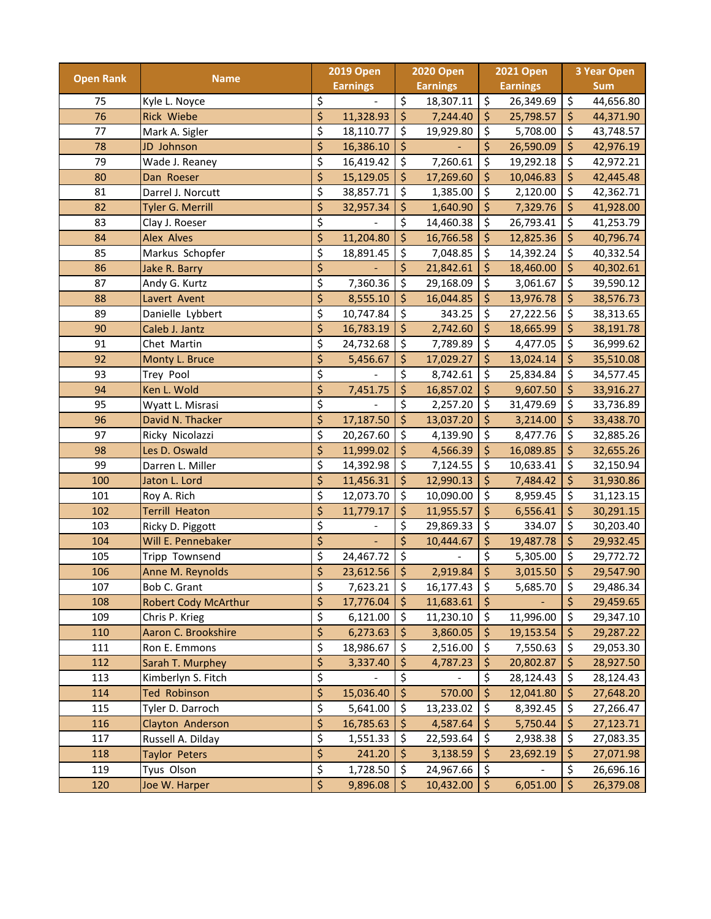| <b>Open Rank</b> |                             | <b>2019 Open</b>         |                 | <b>2020 Open</b>         |                 |                                | <b>2021 Open</b> | <b>3 Year Open</b> |            |  |
|------------------|-----------------------------|--------------------------|-----------------|--------------------------|-----------------|--------------------------------|------------------|--------------------|------------|--|
|                  | <b>Name</b>                 |                          | <b>Earnings</b> |                          | <b>Earnings</b> |                                | <b>Earnings</b>  |                    | <b>Sum</b> |  |
| 75               | Kyle L. Noyce               | \$                       |                 | \$                       | 18,307.11       | $\overline{\mathcal{S}}$       | 26,349.69        | \$                 | 44,656.80  |  |
| 76               | <b>Rick Wiebe</b>           | \$                       | 11,328.93       | $\overline{\xi}$         | 7,244.40        | $\zeta$                        | 25,798.57        | \$                 | 44,371.90  |  |
| 77               | Mark A. Sigler              | \$                       | 18,110.77       | \$                       | 19,929.80       | \$                             | 5,708.00         | \$                 | 43,748.57  |  |
| 78               | JD Johnson                  | \$                       | 16,386.10       | \$                       |                 | \$                             | 26,590.09        | \$                 | 42,976.19  |  |
| 79               | Wade J. Reaney              | \$                       | 16,419.42       | \$                       | 7,260.61        | \$                             | 19,292.18        | \$                 | 42,972.21  |  |
| 80               | Dan Roeser                  | \$                       | 15,129.05       | \$                       | 17,269.60       | \$                             | 10,046.83        | \$                 | 42,445.48  |  |
| 81               | Darrel J. Norcutt           | \$                       | 38,857.71       | \$                       | 1,385.00        | \$                             | 2,120.00         | \$                 | 42,362.71  |  |
| 82               | Tyler G. Merrill            | \$                       | 32,957.34       | \$                       | 1,640.90        | $\zeta$                        | 7,329.76         | \$                 | 41,928.00  |  |
| 83               | Clay J. Roeser              | \$                       |                 | \$                       | 14,460.38       | \$                             | 26,793.41        | \$                 | 41,253.79  |  |
| 84               | <b>Alex Alves</b>           | $\overline{\mathsf{S}}$  | 11,204.80       | \$                       | 16,766.58       | $\zeta$                        | 12,825.36        | \$                 | 40,796.74  |  |
| 85               | Markus Schopfer             | \$                       | 18,891.45       | \$                       | 7,048.85        | \$                             | 14,392.24        | \$                 | 40,332.54  |  |
| 86               | Jake R. Barry               | \$                       |                 | \$                       | 21,842.61       | \$                             | 18,460.00        | \$                 | 40,302.61  |  |
| 87               | Andy G. Kurtz               | \$                       | 7,360.36        | $\overline{\mathcal{S}}$ | 29,168.09       | \$                             | 3,061.67         | \$                 | 39,590.12  |  |
| 88               | Lavert Avent                | \$                       | 8,555.10        | \$                       | 16,044.85       | \$                             | 13,976.78        | \$                 | 38,576.73  |  |
| 89               | Danielle Lybbert            | \$                       | 10,747.84       | \$                       | 343.25          | \$                             | 27,222.56        | \$                 | 38,313.65  |  |
| 90               | Caleb J. Jantz              | \$                       | 16,783.19       | \$                       | 2,742.60        | \$                             | 18,665.99        | \$                 | 38,191.78  |  |
| 91               | Chet Martin                 | \$                       | 24,732.68       | \$                       | 7,789.89        | \$                             | 4,477.05         | \$                 | 36,999.62  |  |
| 92               | Monty L. Bruce              | \$                       | 5,456.67        | \$                       | 17,029.27       | $\zeta$                        | 13,024.14        | \$                 | 35,510.08  |  |
| 93               | Trey Pool                   | \$                       |                 | $\overline{\mathcal{S}}$ | 8,742.61        | \$                             | 25,834.84        | \$                 | 34,577.45  |  |
| 94               | Ken L. Wold                 | \$                       | 7,451.75        | \$                       | 16,857.02       | \$                             | 9,607.50         | \$                 | 33,916.27  |  |
| 95               | Wyatt L. Misrasi            | \$                       |                 | \$                       | 2,257.20        | $\zeta$                        | 31,479.69        | \$                 | 33,736.89  |  |
| 96               | David N. Thacker            | \$                       | 17,187.50       | \$                       | 13,037.20       | $\zeta$                        | 3,214.00         | \$                 | 33,438.70  |  |
| 97               | Ricky Nicolazzi             | \$                       | 20,267.60       | \$                       | 4,139.90        | \$                             | 8,477.76         | \$                 | 32,885.26  |  |
| 98               | Les D. Oswald               | \$                       | 11,999.02       | \$                       | 4,566.39        | \$                             | 16,089.85        | \$                 | 32,655.26  |  |
| 99               | Darren L. Miller            | \$                       | 14,392.98       | \$                       | 7,124.55        | \$                             | 10,633.41        | \$                 | 32,150.94  |  |
| 100              | Jaton L. Lord               | \$                       | 11,456.31       | \$                       | 12,990.13       | $\zeta$                        | 7,484.42         | \$                 | 31,930.86  |  |
| 101              | Roy A. Rich                 | \$                       | 12,073.70       | \$                       | 10,090.00       | \$                             | 8,959.45         | \$                 | 31,123.15  |  |
| 102              | <b>Terrill Heaton</b>       | \$                       | 11,779.17       | \$                       | 11,955.57       | \$                             | 6,556.41         | \$                 | 30,291.15  |  |
| 103              | Ricky D. Piggott            | \$                       |                 | \$                       | 29,869.33       | $\overline{\mathcal{S}}$       | 334.07           | \$                 | 30,203.40  |  |
| 104              | Will E. Pennebaker          | \$                       |                 | \$                       | 10,444.67       | $\boldsymbol{\dot{\varsigma}}$ | 19,487.78        | \$                 | 29,932.45  |  |
| 105              | Tripp Townsend              | \$                       | 24,467.72       | \$                       |                 | \$                             | 5,305.00         | \$                 | 29,772.72  |  |
| 106              | Anne M. Reynolds            | \$                       | 23,612.56       | \$                       | 2,919.84        | $\zeta$                        | 3,015.50         | \$                 | 29,547.90  |  |
| 107              | Bob C. Grant                | \$                       | 7,623.21        | \$                       | 16,177.43       | \$                             | 5,685.70         | \$                 | 29,486.34  |  |
| 108              | <b>Robert Cody McArthur</b> | \$                       | 17,776.04       | \$                       | 11,683.61       | $\frac{1}{2}$                  |                  | \$                 | 29,459.65  |  |
| 109              | Chris P. Krieg              | \$                       | 6,121.00        | \$                       | 11,230.10       | \$                             | 11,996.00        | $\zeta$            | 29,347.10  |  |
| 110              | Aaron C. Brookshire         | \$                       | 6,273.63        | \$                       | 3,860.05        | \$                             | 19,153.54        | \$                 | 29,287.22  |  |
| 111              | Ron E. Emmons               | \$                       | 18,986.67       | \$                       | 2,516.00        | $\zeta$                        | 7,550.63         | \$                 | 29,053.30  |  |
| 112              | Sarah T. Murphey            | \$                       | 3,337.40        | \$                       | 4,787.23        | $\zeta$                        | 20,802.87        | \$                 | 28,927.50  |  |
| 113              | Kimberlyn S. Fitch          | \$                       |                 | \$                       |                 | \$                             | 28,124.43        | \$                 | 28,124.43  |  |
| 114              | <b>Ted Robinson</b>         | \$                       | 15,036.40       | $\overline{\mathcal{L}}$ | 570.00          | $\frac{1}{2}$                  | 12,041.80        | \$                 | 27,648.20  |  |
| 115              | Tyler D. Darroch            | $\overline{\mathcal{S}}$ | 5,641.00        | \$                       | 13,233.02       | \$                             | 8,392.45         | \$                 | 27,266.47  |  |
| 116              | Clayton Anderson            | \$                       | 16,785.63       | \$                       | 4,587.64        | \$                             | 5,750.44         | \$                 | 27,123.71  |  |
| 117              | Russell A. Dilday           | \$                       | 1,551.33        | \$                       | 22,593.64       | \$                             | 2,938.38         | \$                 | 27,083.35  |  |
| 118              | <b>Taylor Peters</b>        | \$                       | 241.20          | \$                       | 3,138.59        | $\frac{1}{2}$                  | 23,692.19        | \$                 | 27,071.98  |  |
| 119              | Tyus Olson                  | $\overline{\mathcal{S}}$ | 1,728.50        | \$                       | 24,967.66       | \$                             |                  | \$                 | 26,696.16  |  |
| 120              | Joe W. Harper               | $\overline{\xi}$         | 9,896.08        | $\frac{1}{2}$            | 10,432.00       | \$                             | 6,051.00         | $\frac{1}{2}$      | 26,379.08  |  |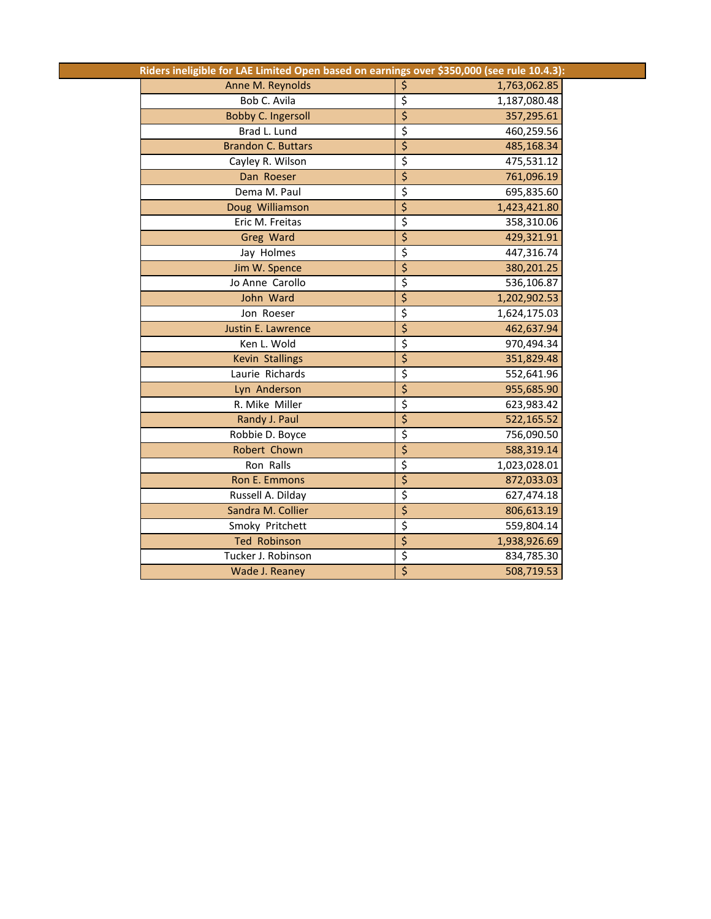| Riders ineligible for LAE Limited Open based on earnings over \$350,000 (see rule 10.4.3): |                                                   |
|--------------------------------------------------------------------------------------------|---------------------------------------------------|
| Anne M. Reynolds                                                                           | \$<br>1,763,062.85                                |
| Bob C. Avila                                                                               | \$<br>1,187,080.48                                |
| <b>Bobby C. Ingersoll</b>                                                                  | $\overline{\xi}$<br>357,295.61                    |
| Brad L. Lund                                                                               | \$<br>460,259.56                                  |
| <b>Brandon C. Buttars</b>                                                                  | $\overline{\xi}$<br>485,168.34                    |
| Cayley R. Wilson                                                                           | $\overline{\xi}$<br>475,531.12                    |
| Dan Roeser                                                                                 | $\overline{\xi}$<br>761,096.19                    |
| Dema M. Paul                                                                               | $\overline{\mathcal{S}}$<br>695,835.60            |
| Doug Williamson                                                                            | $\overline{\xi}$<br>1,423,421.80                  |
| Eric M. Freitas                                                                            | \$<br>358,310.06                                  |
| Greg Ward                                                                                  | $\overline{\boldsymbol{\varsigma}}$<br>429,321.91 |
| Jay Holmes                                                                                 | \$<br>447,316.74                                  |
| Jim W. Spence                                                                              | \$<br>380,201.25                                  |
| Jo Anne Carollo                                                                            | \$<br>536,106.87                                  |
| John Ward                                                                                  | \$<br>1,202,902.53                                |
| Jon Roeser                                                                                 | $\overline{\xi}$<br>1,624,175.03                  |
| Justin E. Lawrence                                                                         | $\overline{\boldsymbol{\varsigma}}$<br>462,637.94 |
| Ken L. Wold                                                                                | \$<br>970,494.34                                  |
| <b>Kevin Stallings</b>                                                                     | $\overline{\xi}$<br>351,829.48                    |
| Laurie Richards                                                                            | \$<br>552,641.96                                  |
| Lyn Anderson                                                                               | $\overline{\boldsymbol{\varsigma}}$<br>955,685.90 |
| R. Mike Miller                                                                             | \$<br>623,983.42                                  |
| Randy J. Paul                                                                              | \$<br>522,165.52                                  |
| Robbie D. Boyce                                                                            | $\overline{\xi}$<br>756,090.50                    |
| Robert Chown                                                                               | $\overline{\xi}$<br>588,319.14                    |
| Ron Ralls                                                                                  | \$<br>1,023,028.01                                |
| Ron E. Emmons                                                                              | $\overline{\boldsymbol{\varsigma}}$<br>872,033.03 |
| Russell A. Dilday                                                                          | \$<br>627,474.18                                  |
| Sandra M. Collier                                                                          | $\overline{\xi}$<br>806,613.19                    |
| Smoky Pritchett                                                                            | $\overline{\xi}$<br>559,804.14                    |
| <b>Ted Robinson</b>                                                                        | $\overline{\xi}$<br>1,938,926.69                  |
| Tucker J. Robinson                                                                         | \$<br>834,785.30                                  |
| Wade J. Reaney                                                                             | $\overline{\boldsymbol{\varsigma}}$<br>508,719.53 |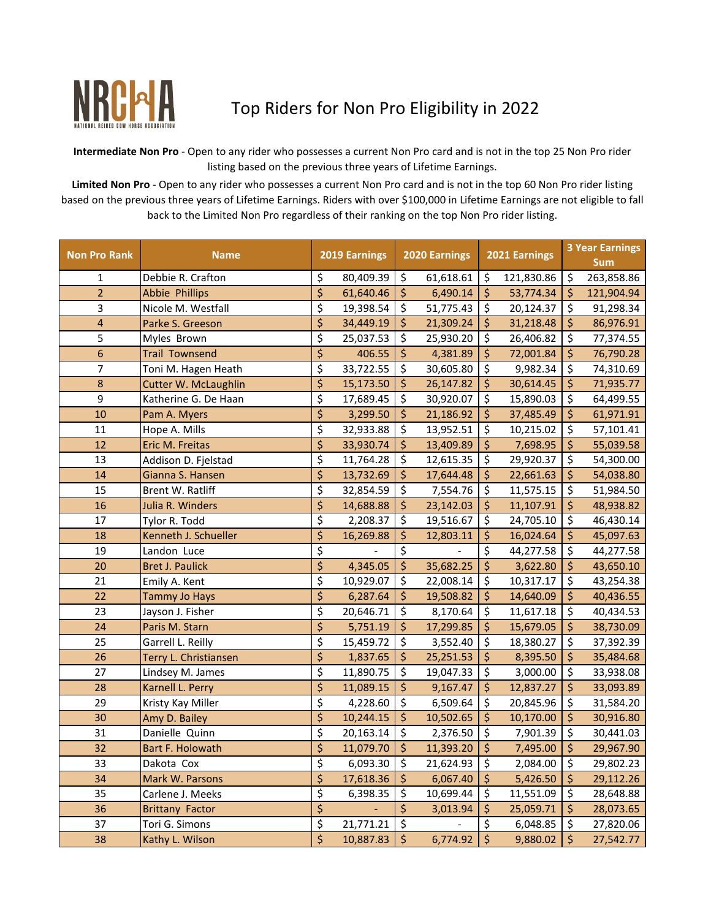

NRCAL Top Riders for Non Pro Eligibility in 2022

**Intermediate Non Pro** - Open to any rider who possesses a current Non Pro card and is not in the top 25 Non Pro rider listing based on the previous three years of Lifetime Earnings.

**Limited Non Pro** - Open to any rider who possesses a current Non Pro card and is not in the top 60 Non Pro rider listing based on the previous three years of Lifetime Earnings. Riders with over \$100,000 in Lifetime Earnings are not eligible to fall back to the Limited Non Pro regardless of their ranking on the top Non Pro rider listing.

| <b>Non Pro Rank</b> | <b>Name</b>                 | 2019 Earnings    |           |                                     | 2020 Earnings |                          | 2021 Earnings |         | <b>3 Year Earnings</b><br><b>Sum</b> |  |
|---------------------|-----------------------------|------------------|-----------|-------------------------------------|---------------|--------------------------|---------------|---------|--------------------------------------|--|
| 1                   | Debbie R. Crafton           | \$               | 80,409.39 | \$                                  | 61,618.61     | $\zeta$                  | 121,830.86    | \$      | 263,858.86                           |  |
| $\overline{2}$      | <b>Abbie Phillips</b>       | $\overline{\xi}$ | 61,640.46 | \$                                  | 6,490.14      | \$                       | 53,774.34     | \$      | 121,904.94                           |  |
| 3                   | Nicole M. Westfall          | \$               | 19,398.54 | \$                                  | 51,775.43     | $\ddot{\varsigma}$       | 20,124.37     | \$      | 91,298.34                            |  |
| 4                   | Parke S. Greeson            | \$               | 34,449.19 | \$                                  | 21,309.24     | \$                       | 31,218.48     | \$      | 86,976.91                            |  |
| 5                   | Myles Brown                 | \$               | 25,037.53 | \$                                  | 25,930.20     | \$                       | 26,406.82     | \$      | 77,374.55                            |  |
| 6                   | <b>Trail Townsend</b>       | \$               | 406.55    | \$                                  | 4,381.89      | \$                       | 72,001.84     | \$      | 76,790.28                            |  |
| 7                   | Toni M. Hagen Heath         | \$               | 33,722.55 | \$                                  | 30,605.80     | \$                       | 9,982.34      | \$      | 74,310.69                            |  |
| 8                   | <b>Cutter W. McLaughlin</b> | \$               | 15,173.50 | \$                                  | 26,147.82     | $\ddot{\varsigma}$       | 30,614.45     | \$      | 71,935.77                            |  |
| 9                   | Katherine G. De Haan        | \$               | 17,689.45 | \$                                  | 30,920.07     | \$                       | 15,890.03     | \$      | 64,499.55                            |  |
| 10                  | Pam A. Myers                | \$               | 3,299.50  | \$                                  | 21,186.92     | \$                       | 37,485.49     | \$      | 61,971.91                            |  |
| $11\,$              | Hope A. Mills               | \$               | 32,933.88 | \$                                  | 13,952.51     | \$                       | 10,215.02     | \$      | 57,101.41                            |  |
| 12                  | Eric M. Freitas             | \$               | 33,930.74 | \$                                  | 13,409.89     | $\zeta$                  | 7,698.95      | \$      | 55,039.58                            |  |
| 13                  | Addison D. Fjelstad         | \$               | 11,764.28 | \$                                  | 12,615.35     | \$                       | 29,920.37     | \$      | 54,300.00                            |  |
| 14                  | Gianna S. Hansen            | \$               | 13,732.69 | \$                                  | 17,644.48     | \$                       | 22,661.63     | \$      | 54,038.80                            |  |
| 15                  | Brent W. Ratliff            | \$               | 32,854.59 | \$                                  | 7,554.76      | \$                       | 11,575.15     | \$      | 51,984.50                            |  |
| 16                  | Julia R. Winders            | \$               | 14,688.88 | \$                                  | 23,142.03     | \$                       | 11,107.91     | \$      | 48,938.82                            |  |
| 17                  | Tylor R. Todd               | \$               | 2,208.37  | \$                                  | 19,516.67     | \$                       | 24,705.10     | \$      | 46,430.14                            |  |
| 18                  | Kenneth J. Schueller        | \$               | 16,269.88 | \$                                  | 12,803.11     | \$                       | 16,024.64     | \$      | 45,097.63                            |  |
| 19                  | Landon Luce                 | \$               |           | \$                                  |               | \$                       | 44,277.58     | \$      | 44,277.58                            |  |
| 20                  | <b>Bret J. Paulick</b>      | $\overline{\xi}$ | 4,345.05  | $\overline{\boldsymbol{\varsigma}}$ | 35,682.25     | $\overline{\mathcal{S}}$ | 3,622.80      | \$      | 43,650.10                            |  |
| 21                  | Emily A. Kent               | \$               | 10,929.07 | \$                                  | 22,008.14     | \$                       | 10,317.17     | \$      | 43,254.38                            |  |
| 22                  | <b>Tammy Jo Hays</b>        | \$               | 6,287.64  | \$                                  | 19,508.82     | $\ddot{\mathsf{S}}$      | 14,640.09     | \$      | 40,436.55                            |  |
| 23                  | Jayson J. Fisher            | \$               | 20,646.71 | \$                                  | 8,170.64      | \$                       | 11,617.18     | \$      | 40,434.53                            |  |
| 24                  | Paris M. Starn              | \$               | 5,751.19  | \$                                  | 17,299.85     | \$                       | 15,679.05     | \$      | 38,730.09                            |  |
| 25                  | Garrell L. Reilly           | \$               | 15,459.72 | \$                                  | 3,552.40      | $\ddot{\varsigma}$       | 18,380.27     | \$      | 37,392.39                            |  |
| 26                  | Terry L. Christiansen       | \$               | 1,837.65  | \$                                  | 25,251.53     | \$                       | 8,395.50      | \$      | 35,484.68                            |  |
| 27                  | Lindsey M. James            | \$               | 11,890.75 | \$                                  | 19,047.33     | \$                       | 3,000.00      | \$      | 33,938.08                            |  |
| 28                  | Karnell L. Perry            | \$               | 11,089.15 | \$                                  | 9,167.47      | \$                       | 12,837.27     | \$      | 33,093.89                            |  |
| 29                  | Kristy Kay Miller           | \$               | 4,228.60  | \$                                  | 6,509.64      | \$                       | 20,845.96     | \$      | 31,584.20                            |  |
| 30                  | Amy D. Bailey               | \$               | 10,244.15 | \$                                  | 10,502.65     | $\ddot{\varsigma}$       | 10,170.00     | \$      | 30,916.80                            |  |
| 31                  | Danielle Quinn              | \$               | 20,163.14 | $\overline{\mathcal{L}}$            | 2,376.50      | $\zeta$                  | 7,901.39      | \$      | 30,441.03                            |  |
| 32                  | <b>Bart F. Holowath</b>     | \$               | 11,079.70 | \$                                  | 11,393.20     | \$                       | 7,495.00      | \$      | 29,967.90                            |  |
| 33                  | Dakota Cox                  | \$               | 6,093.30  | \$                                  | 21,624.93     | -\$                      | 2,084.00      | \$      | 29,802.23                            |  |
| 34                  | Mark W. Parsons             | \$               | 17,618.36 | \$                                  | 6,067.40      | $\zeta$                  | 5,426.50      | $\zeta$ | 29,112.26                            |  |
| 35                  | Carlene J. Meeks            | \$               | 6,398.35  | \$                                  | 10,699.44     | \$                       | 11,551.09     | \$      | 28,648.88                            |  |
| 36                  | <b>Brittany Factor</b>      | \$               |           | \$                                  | 3,013.94      | $\zeta$                  | 25,059.71     | \$      | 28,073.65                            |  |
| 37                  | Tori G. Simons              | \$               | 21,771.21 | \$                                  |               | \$                       | 6,048.85      | \$      | 27,820.06                            |  |
| 38                  | Kathy L. Wilson             | \$               | 10,887.83 | $\overline{\xi}$                    | 6,774.92      | $\frac{1}{2}$            | 9,880.02      | \$      | 27,542.77                            |  |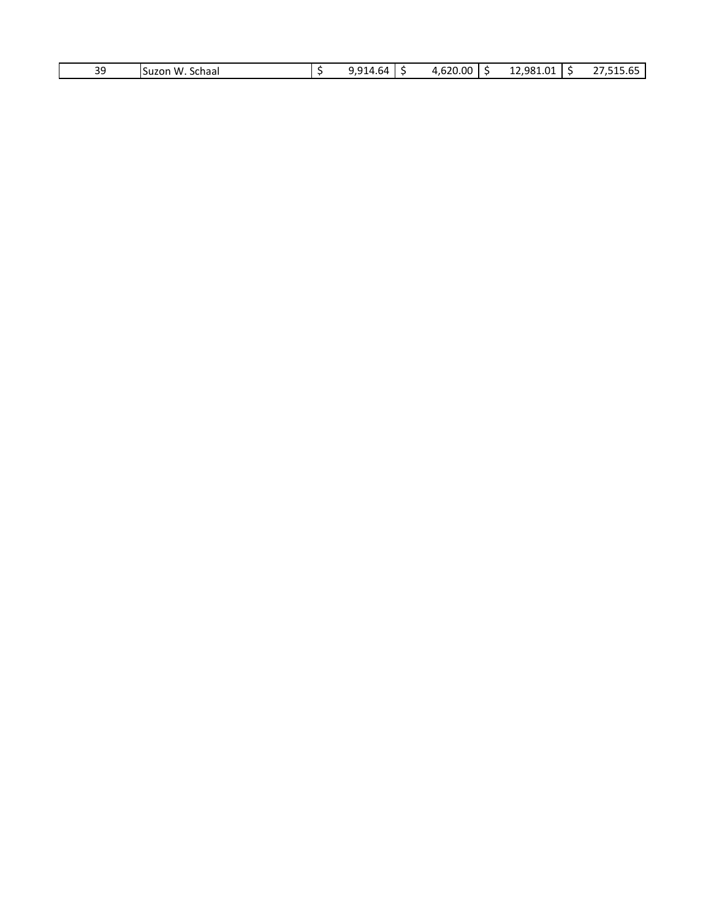| ാറ<br>≺ч<br>ັ | w<br>Schaal<br>Suzon | $\sim$<br>ьд<br>. . | $\sim$<br>20.00 | - 981<br>$\sim$<br>າ າ<br>,,,,,,<br>$\sim$ $\sim$ | $\sim$ $\sim$<br>.<br>- |
|---------------|----------------------|---------------------|-----------------|---------------------------------------------------|-------------------------|
|               |                      |                     |                 |                                                   |                         |